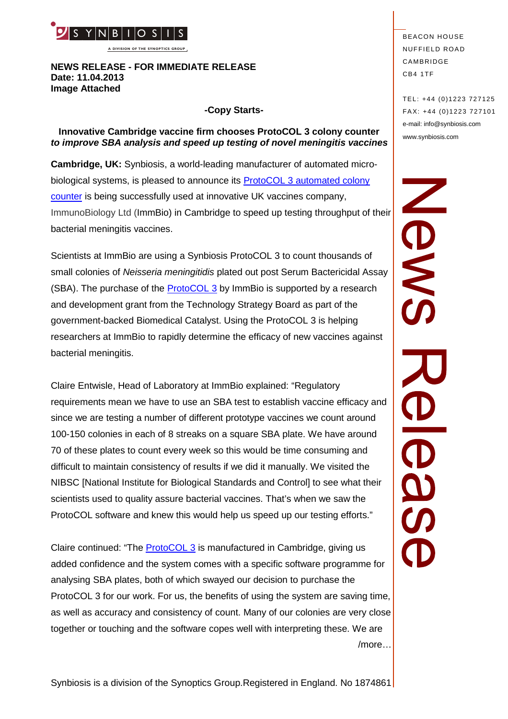

**A DIVISION OF THE SYNOPTICS GROUP**

#### **NEWS RELEASE - FOR IMMEDIATE RELEASE Date: 11.04.2013 Image Attached**

#### **-Copy Starts-**

## **Innovative Cambridge vaccine firm chooses ProtoCOL 3 colony counter** *to improve SBA analysis and speed up testing of novel meningitis vaccines*

**Cambridge, UK:** Synbiosis, a world-leading manufacturer of automated microbiological systems, is pleased to announce its **[ProtoCOL 3 automated colony](http://www.synbiosis.com/protocol-3/)** [counter](http://www.synbiosis.com/protocol-3/) is being successfully used at innovative UK vaccines company, ImmunoBiology Ltd (ImmBio) in Cambridge to speed up testing throughput of their bacterial meningitis vaccines.

Scientists at ImmBio are using a Synbiosis ProtoCOL 3 to count thousands of small colonies of *Neisseria meningitidis* plated out post Serum Bactericidal Assay (SBA). The purchase of the [ProtoCOL 3](http://www.synbiosis.com/protocol-3/) by ImmBio is supported by a research and development grant from the Technology Strategy Board as part of the government-backed Biomedical Catalyst. Using the ProtoCOL 3 is helping researchers at ImmBio to rapidly determine the efficacy of new vaccines against bacterial meningitis.

Claire Entwisle, Head of Laboratory at ImmBio explained: "Regulatory requirements mean we have to use an SBA test to establish vaccine efficacy and since we are testing a number of different prototype vaccines we count around 100-150 colonies in each of 8 streaks on a square SBA plate. We have around 70 of these plates to count every week so this would be time consuming and difficult to maintain consistency of results if we did it manually. We visited the NIBSC [National Institute for Biological Standards and Control] to see what their scientists used to quality assure bacterial vaccines. That's when we saw the ProtoCOL software and knew this would help us speed up our testing efforts."

Claire continued: "The [ProtoCOL 3](http://www.synbiosis.com/protocol-3/) is manufactured in Cambridge, giving us added confidence and the system comes with a specific software programme for analysing SBA plates, both of which swayed our decision to purchase the ProtoCOL 3 for our work. For us, the benefits of using the system are saving time, as well as accuracy and consistency of count. Many of our colonies are very close together or touching and the software copes well with interpreting these. We are /more…

**BEACON HOUSE NUFFIELD ROAD** CAMBRIDGE CB4 1TF

TEL: +44 (0)1223 727125 FA X: +44 (0)1223 727101 e-mail: info@synbiosis.com www.synbiosis.com

SME  $\frac{\partial}{\partial S}$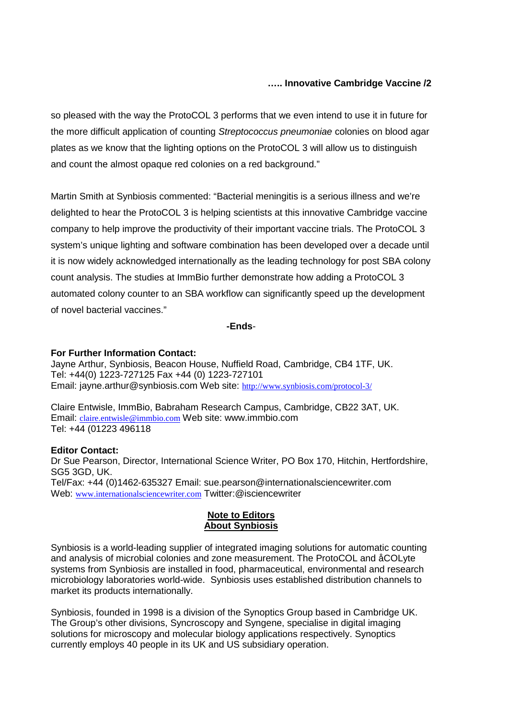# **….. Innovative Cambridge Vaccine /2**

so pleased with the way the ProtoCOL 3 performs that we even intend to use it in future for the more difficult application of counting *Streptococcus pneumoniae* colonies on blood agar plates as we know that the lighting options on the ProtoCOL 3 will allow us to distinguish and count the almost opaque red colonies on a red background."

Martin Smith at Synbiosis commented: "Bacterial meningitis is a serious illness and we're delighted to hear the ProtoCOL 3 is helping scientists at this innovative Cambridge vaccine company to help improve the productivity of their important vaccine trials. The ProtoCOL 3 system's unique lighting and software combination has been developed over a decade until it is now widely acknowledged internationally as the leading technology for post SBA colony count analysis. The studies at ImmBio further demonstrate how adding a ProtoCOL 3 automated colony counter to an SBA workflow can significantly speed up the development of novel bacterial vaccines."

**-Ends**-

### **For Further Information Contact:**

Jayne Arthur, Synbiosis, Beacon House, Nuffield Road, Cambridge, CB4 1TF, UK. Tel: +44(0) 1223-727125 Fax +44 (0) 1223-727101 Email: jayne.arthur@synbiosis.com Web site: <http://www.synbiosis.com/protocol-3/>

Claire Entwisle, ImmBio, Babraham Research Campus, Cambridge, CB22 3AT, UK. Email: [claire.entwisle@immbio.com](mailto:claire.entwisle@immbio.com) Web site: www.immbio.com Tel: +44 (01223 496118

## **Editor Contact:**

Dr Sue Pearson, Director, International Science Writer, PO Box 170, Hitchin, Hertfordshire, SG5 3GD, UK. Tel/Fax: +44 (0)1462-635327 Email: sue.pearson@internationalsciencewriter.com Web: [www.internationalsciencewriter.com](http://www.internationalsciencewriter.com/) Twitter:@isciencewriter

### **Note to Editors About Synbiosis**

Synbiosis is a world-leading supplier of integrated imaging solutions for automatic counting and analysis of microbial colonies and zone measurement. The ProtoCOL and åCOLyte systems from Synbiosis are installed in food, pharmaceutical, environmental and research microbiology laboratories world-wide. Synbiosis uses established distribution channels to market its products internationally.

Synbiosis, founded in 1998 is a division of the Synoptics Group based in Cambridge UK. The Group's other divisions, Syncroscopy and Syngene, specialise in digital imaging solutions for microscopy and molecular biology applications respectively. Synoptics currently employs 40 people in its UK and US subsidiary operation.